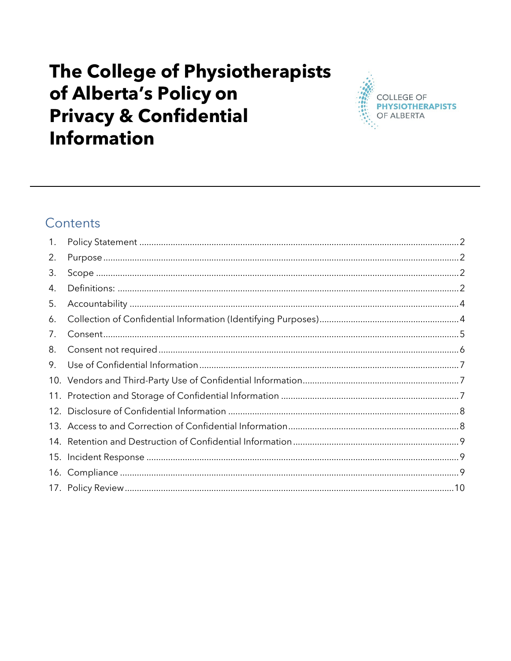# The College of Physiotherapists of Alberta's Policy on **Privacy & Confidential Information**



# Contents

| 1 <sub>1</sub> |  |
|----------------|--|
| 2.             |  |
| 3.             |  |
| 4.             |  |
| 5.             |  |
| 6.             |  |
| 7.             |  |
| 8.             |  |
| 9.             |  |
|                |  |
|                |  |
|                |  |
|                |  |
|                |  |
|                |  |
|                |  |
|                |  |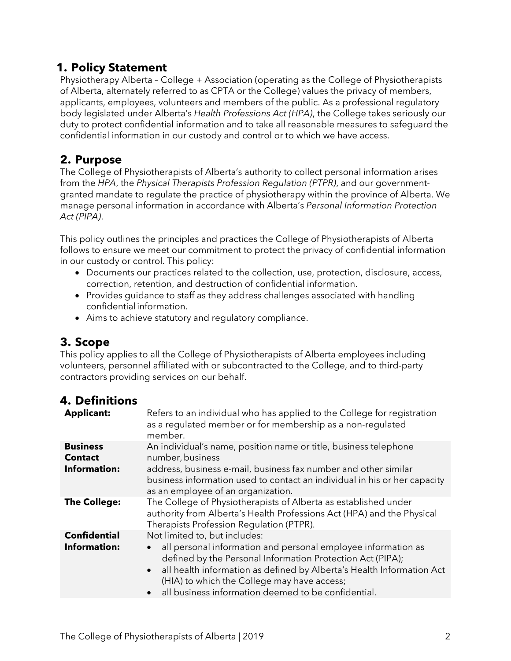### <span id="page-1-0"></span>**1. Policy Statement**

Physiotherapy Alberta – College + Association (operating as the College of Physiotherapists of Alberta, alternately referred to as CPTA or the College) values the privacy of members, applicants, employees, volunteers and members of the public. As a professional regulatory body legislated under Alberta's *Health Professions Act (HPA)*, the College takes seriously our duty to protect confidential information and to take all reasonable measures to safeguard the confidential information in our custody and control or to which we have access.

## <span id="page-1-1"></span>**2. Purpose**

The College of Physiotherapists of Alberta's authority to collect personal information arises from the *HPA*, the *Physical Therapists Profession Regulation (PTPR)*, and our governmentgranted mandate to regulate the practice of physiotherapy within the province of Alberta. We manage personal information in accordance with Alberta's *Personal Information Protection Act (PIPA)*.

This policy outlines the principles and practices the College of Physiotherapists of Alberta follows to ensure we meet our commitment to protect the privacy of confidential information in our custody or control. This policy:

- Documents our practices related to the collection, use, protection, disclosure, access, correction, retention, and destruction of confidential information.
- Provides guidance to staff as they address challenges associated with handling confidential information.
- Aims to achieve statutory and regulatory compliance.

## <span id="page-1-2"></span>**3. Scope**

This policy applies to all the College of Physiotherapists of Alberta employees including volunteers, personnel affiliated with or subcontracted to the College, and to third-party contractors providing services on our behalf.

### <span id="page-1-3"></span>**4. Definitions**

| <b>Applicant:</b>                                        | Refers to an individual who has applied to the College for registration<br>as a regulated member or for membership as a non-regulated<br>member.                                                                                                                                                                                              |
|----------------------------------------------------------|-----------------------------------------------------------------------------------------------------------------------------------------------------------------------------------------------------------------------------------------------------------------------------------------------------------------------------------------------|
| <b>Business</b><br><b>Contact</b><br><b>Information:</b> | An individual's name, position name or title, business telephone<br>number, business<br>address, business e-mail, business fax number and other similar<br>business information used to contact an individual in his or her capacity<br>as an employee of an organization.                                                                    |
| <b>The College:</b>                                      | The College of Physiotherapists of Alberta as established under<br>authority from Alberta's Health Professions Act (HPA) and the Physical<br>Therapists Profession Requlation (PTPR).                                                                                                                                                         |
| <b>Confidential</b><br><b>Information:</b>               | Not limited to, but includes:<br>all personal information and personal employee information as<br>defined by the Personal Information Protection Act (PIPA);<br>• all health information as defined by Alberta's Health Information Act<br>(HIA) to which the College may have access;<br>all business information deemed to be confidential. |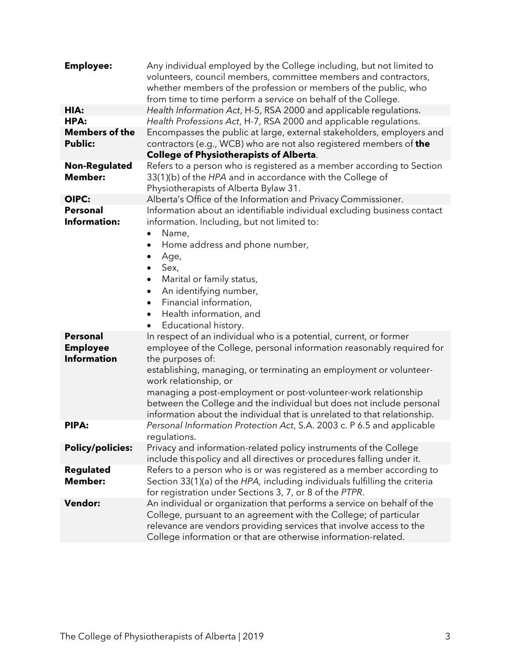| <b>Employee:</b>                                         | Any individual employed by the College including, but not limited to<br>volunteers, council members, committee members and contractors,<br>whether members of the profession or members of the public, who<br>from time to time perform a service on behalf of the College.                                                                                                                                                                                                                                                                                                                                                                                                                                                                                                                                                                                         |
|----------------------------------------------------------|---------------------------------------------------------------------------------------------------------------------------------------------------------------------------------------------------------------------------------------------------------------------------------------------------------------------------------------------------------------------------------------------------------------------------------------------------------------------------------------------------------------------------------------------------------------------------------------------------------------------------------------------------------------------------------------------------------------------------------------------------------------------------------------------------------------------------------------------------------------------|
| HIA:                                                     | Health Information Act, H-5, RSA 2000 and applicable regulations.                                                                                                                                                                                                                                                                                                                                                                                                                                                                                                                                                                                                                                                                                                                                                                                                   |
| HPA:                                                     | Health Professions Act, H-7, RSA 2000 and applicable regulations.                                                                                                                                                                                                                                                                                                                                                                                                                                                                                                                                                                                                                                                                                                                                                                                                   |
| <b>Members of the</b><br><b>Public:</b>                  | Encompasses the public at large, external stakeholders, employers and<br>contractors (e.g., WCB) who are not also registered members of <b>the</b><br><b>College of Physiotherapists of Alberta.</b>                                                                                                                                                                                                                                                                                                                                                                                                                                                                                                                                                                                                                                                                |
| <b>Non-Regulated</b><br><b>Member:</b>                   | Refers to a person who is registered as a member according to Section<br>33(1)(b) of the HPA and in accordance with the College of<br>Physiotherapists of Alberta Bylaw 31.                                                                                                                                                                                                                                                                                                                                                                                                                                                                                                                                                                                                                                                                                         |
| OIPC:                                                    | Alberta's Office of the Information and Privacy Commissioner.                                                                                                                                                                                                                                                                                                                                                                                                                                                                                                                                                                                                                                                                                                                                                                                                       |
| <b>Personal</b><br><b>Information:</b>                   | Information about an identifiable individual excluding business contact<br>information. Including, but not limited to:<br>Name,<br>$\bullet$<br>Home address and phone number,<br>Age,<br>٠<br>Sex,<br>$\bullet$<br>Marital or family status,<br>٠<br>An identifying number,<br>٠<br>Financial information,<br>$\bullet$<br>Health information, and<br>Educational history.<br>In respect of an individual who is a potential, current, or former<br>employee of the College, personal information reasonably required for<br>the purposes of:<br>establishing, managing, or terminating an employment or volunteer-<br>work relationship, or<br>managing a post-employment or post-volunteer-work relationship<br>between the College and the individual but does not include personal<br>information about the individual that is unrelated to that relationship. |
| <b>Personal</b><br><b>Employee</b><br><b>Information</b> |                                                                                                                                                                                                                                                                                                                                                                                                                                                                                                                                                                                                                                                                                                                                                                                                                                                                     |
| <b>PIPA:</b>                                             | Personal Information Protection Act, S.A. 2003 c. P 6.5 and applicable<br>regulations.                                                                                                                                                                                                                                                                                                                                                                                                                                                                                                                                                                                                                                                                                                                                                                              |
| <b>Policy/policies:</b>                                  | Privacy and information-related policy instruments of the College<br>include thispolicy and all directives or procedures falling under it.                                                                                                                                                                                                                                                                                                                                                                                                                                                                                                                                                                                                                                                                                                                          |
| <b>Regulated</b><br><b>Member:</b>                       | Refers to a person who is or was registered as a member according to<br>Section 33(1)(a) of the HPA, including individuals fulfilling the criteria<br>for registration under Sections 3, 7, or 8 of the PTPR.                                                                                                                                                                                                                                                                                                                                                                                                                                                                                                                                                                                                                                                       |
| <b>Vendor:</b>                                           | An individual or organization that performs a service on behalf of the<br>College, pursuant to an agreement with the College; of particular<br>relevance are vendors providing services that involve access to the<br>College information or that are otherwise information-related.                                                                                                                                                                                                                                                                                                                                                                                                                                                                                                                                                                                |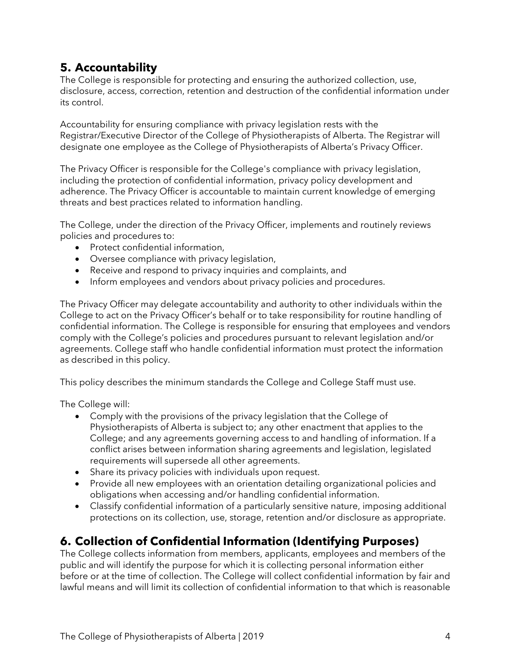# <span id="page-3-0"></span>**5. Accountability**

The College is responsible for protecting and ensuring the authorized collection, use, disclosure, access, correction, retention and destruction of the confidential information under its control.

Accountability for ensuring compliance with privacy legislation rests with the Registrar/Executive Director of the College of Physiotherapists of Alberta. The Registrar will designate one employee as the College of Physiotherapists of Alberta's Privacy Officer.

The Privacy Officer is responsible for the College's compliance with privacy legislation, including the protection of confidential information, privacy policy development and adherence. The Privacy Officer is accountable to maintain current knowledge of emerging threats and best practices related to information handling.

The College, under the direction of the Privacy Officer, implements and routinely reviews policies and procedures to:

- Protect confidential information,
- Oversee compliance with privacy legislation,
- Receive and respond to privacy inquiries and complaints, and
- Inform employees and vendors about privacy policies and procedures.

The Privacy Officer may delegate accountability and authority to other individuals within the College to act on the Privacy Officer's behalf or to take responsibility for routine handling of confidential information. The College is responsible for ensuring that employees and vendors comply with the College's policies and procedures pursuant to relevant legislation and/or agreements. College staff who handle confidential information must protect the information as described in this policy.

This policy describes the minimum standards the College and College Staff must use.

The College will:

- Comply with the provisions of the privacy legislation that the College of Physiotherapists of Alberta is subject to; any other enactment that applies to the College; and any agreements governing access to and handling of information. If a conflict arises between information sharing agreements and legislation, legislated requirements will supersede all other agreements.
- Share its privacy policies with individuals upon request.
- Provide all new employees with an orientation detailing organizational policies and obligations when accessing and/or handling confidential information.
- Classify confidential information of a particularly sensitive nature, imposing additional protections on its collection, use, storage, retention and/or disclosure as appropriate.

## <span id="page-3-1"></span>**6. Collection of Confidential Information (Identifying Purposes)**

The College collects information from members, applicants, employees and members of the public and will identify the purpose for which it is collecting personal information either before or at the time of collection. The College will collect confidential information by fair and lawful means and will limit its collection of confidential information to that which is reasonable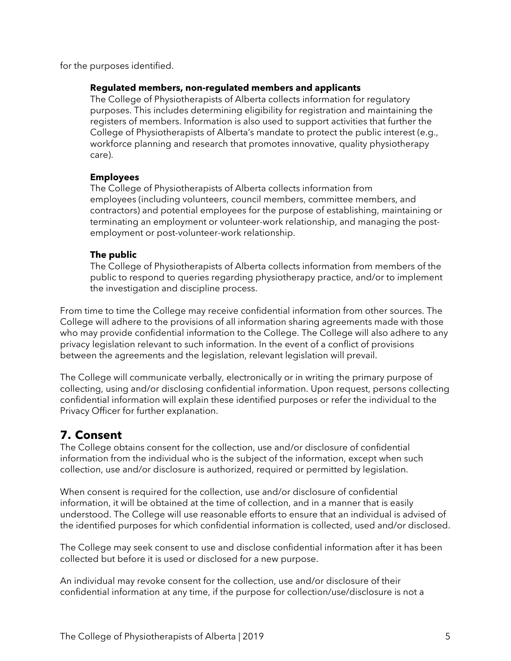for the purposes identified.

#### **Regulated members, non-regulated members and applicants**

The College of Physiotherapists of Alberta collects information for regulatory purposes. This includes determining eligibility for registration and maintaining the registers of members. Information is also used to support activities that further the College of Physiotherapists of Alberta's mandate to protect the public interest (e.g., workforce planning and research that promotes innovative, quality physiotherapy care).

#### **Employees**

The College of Physiotherapists of Alberta collects information from employees (including volunteers, council members, committee members, and contractors) and potential employees for the purpose of establishing, maintaining or terminating an employment or volunteer-work relationship, and managing the postemployment or post-volunteer-work relationship.

#### **The public**

The College of Physiotherapists of Alberta collects information from members of the public to respond to queries regarding physiotherapy practice, and/or to implement the investigation and discipline process.

From time to time the College may receive confidential information from other sources. The College will adhere to the provisions of all information sharing agreements made with those who may provide confidential information to the College. The College will also adhere to any privacy legislation relevant to such information. In the event of a conflict of provisions between the agreements and the legislation, relevant legislation will prevail.

The College will communicate verbally, electronically or in writing the primary purpose of collecting, using and/or disclosing confidential information. Upon request, persons collecting confidential information will explain these identified purposes or refer the individual to the Privacy Officer for further explanation.

### <span id="page-4-0"></span>**7. Consent**

The College obtains consent for the collection, use and/or disclosure of confidential information from the individual who is the subject of the information, except when such collection, use and/or disclosure is authorized, required or permitted by legislation.

When consent is required for the collection, use and/or disclosure of confidential information, it will be obtained at the time of collection, and in a manner that is easily understood. The College will use reasonable efforts to ensure that an individual is advised of the identified purposes for which confidential information is collected, used and/or disclosed.

The College may seek consent to use and disclose confidential information after it has been collected but before it is used or disclosed for a new purpose.

An individual may revoke consent for the collection, use and/or disclosure of their confidential information at any time, if the purpose for collection/use/disclosure is not a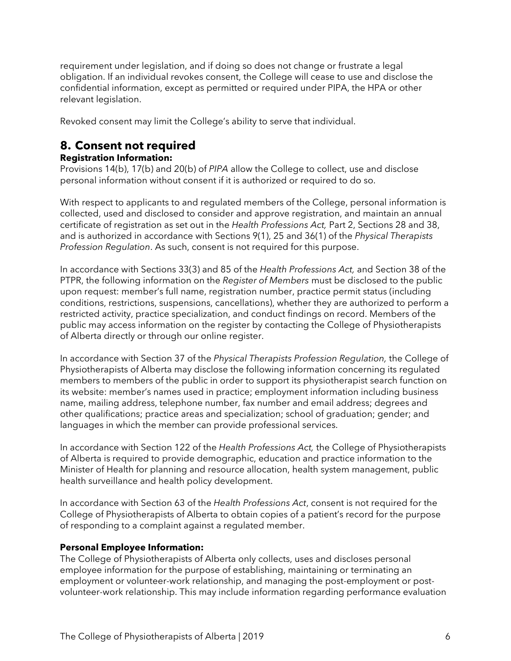requirement under legislation, and if doing so does not change or frustrate a legal obligation. If an individual revokes consent, the College will cease to use and disclose the confidential information, except as permitted or required under PIPA, the HPA or other relevant legislation.

Revoked consent may limit the College's ability to serve that individual.

# <span id="page-5-0"></span>**8. Consent not required**

#### **Registration Information:**

Provisions 14(b), 17(b) and 20(b) of *PIPA* allow the College to collect, use and disclose personal information without consent if it is authorized or required to do so.

With respect to applicants to and regulated members of the College, personal information is collected, used and disclosed to consider and approve registration, and maintain an annual certificate of registration as set out in the *Health Professions Act,* Part 2, Sections 28 and 38, and is authorized in accordance with Sections 9(1), 25 and 36(1) of the *Physical Therapists Profession Regulation*. As such, consent is not required for this purpose.

In accordance with Sections 33(3) and 85 of the *Health Professions Act,* and Section 38 of the PTPR, the following information on the *Register of Members* must be disclosed to the public upon request: member's full name, registration number, practice permit status (including conditions, restrictions, suspensions, cancellations), whether they are authorized to perform a restricted activity, practice specialization, and conduct findings on record. Members of the public may access information on the register by contacting the College of Physiotherapists of Alberta directly or through our online register.

In accordance with Section 37 of the *Physical Therapists Profession Regulation,* the College of Physiotherapists of Alberta may disclose the following information concerning its regulated members to members of the public in order to support its physiotherapist search function on its website: member's names used in practice; employment information including business name, mailing address, telephone number, fax number and email address; degrees and other qualifications; practice areas and specialization; school of graduation; gender; and languages in which the member can provide professional services.

In accordance with Section 122 of the *Health Professions Act,* the College of Physiotherapists of Alberta is required to provide demographic, education and practice information to the Minister of Health for planning and resource allocation, health system management, public health surveillance and health policy development.

In accordance with Section 63 of the *Health Professions Act*, consent is not required for the College of Physiotherapists of Alberta to obtain copies of a patient's record for the purpose of responding to a complaint against a regulated member.

#### **Personal Employee Information:**

The College of Physiotherapists of Alberta only collects, uses and discloses personal employee information for the purpose of establishing, maintaining or terminating an employment or volunteer-work relationship, and managing the post-employment or postvolunteer-work relationship. This may include information regarding performance evaluation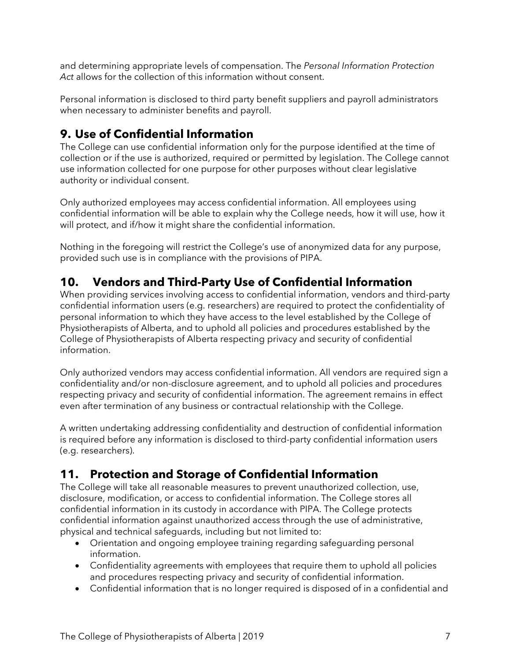and determining appropriate levels of compensation. The *Personal Information Protection Act* allows for the collection of this information without consent.

Personal information is disclosed to third party benefit suppliers and payroll administrators when necessary to administer benefits and payroll.

# <span id="page-6-0"></span>**9. Use of Confidential Information**

The College can use confidential information only for the purpose identified at the time of collection or if the use is authorized, required or permitted by legislation. The College cannot use information collected for one purpose for other purposes without clear legislative authority or individual consent.

Only authorized employees may access confidential information. All employees using confidential information will be able to explain why the College needs, how it will use, how it will protect, and if/how it might share the confidential information.

Nothing in the foregoing will restrict the College's use of anonymized data for any purpose, provided such use is in compliance with the provisions of PIPA.

## <span id="page-6-1"></span>**10. Vendors and Third-Party Use of Confidential Information**

When providing services involving access to confidential information, vendors and third-party confidential information users (e.g. researchers) are required to protect the confidentiality of personal information to which they have access to the level established by the College of Physiotherapists of Alberta, and to uphold all policies and procedures established by the College of Physiotherapists of Alberta respecting privacy and security of confidential information.

Only authorized vendors may access confidential information. All vendors are required sign a confidentiality and/or non-disclosure agreement, and to uphold all policies and procedures respecting privacy and security of confidential information. The agreement remains in effect even after termination of any business or contractual relationship with the College.

A written undertaking addressing confidentiality and destruction of confidential information is required before any information is disclosed to third-party confidential information users (e.g. researchers).

## <span id="page-6-2"></span>**11. Protection and Storage of Confidential Information**

The College will take all reasonable measures to prevent unauthorized collection, use, disclosure, modification, or access to confidential information. The College stores all confidential information in its custody in accordance with PIPA. The College protects confidential information against unauthorized access through the use of administrative, physical and technical safeguards, including but not limited to:

- Orientation and ongoing employee training regarding safeguarding personal information.
- Confidentiality agreements with employees that require them to uphold all policies and procedures respecting privacy and security of confidential information.
- Confidential information that is no longer required is disposed of in a confidential and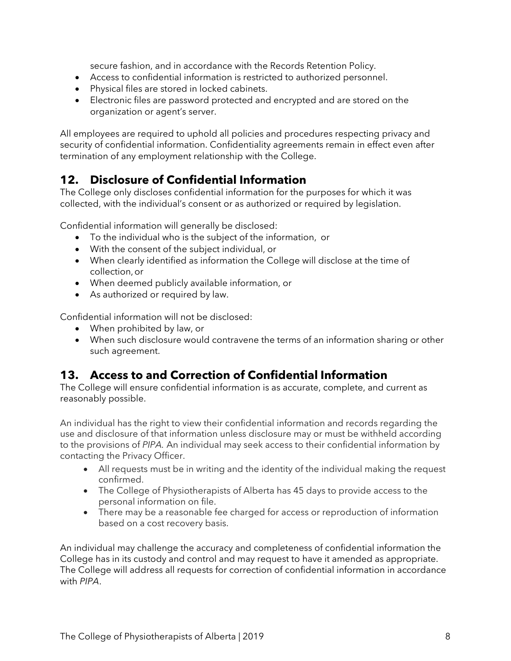secure fashion, and in accordance with the Records Retention Policy.

- Access to confidential information is restricted to authorized personnel.
- Physical files are stored in locked cabinets.
- Electronic files are password protected and encrypted and are stored on the organization or agent's server.

All employees are required to uphold all policies and procedures respecting privacy and security of confidential information. Confidentiality agreements remain in effect even after termination of any employment relationship with the College.

### <span id="page-7-0"></span>**12. Disclosure of Confidential Information**

The College only discloses confidential information for the purposes for which it was collected, with the individual's consent or as authorized or required by legislation.

Confidential information will generally be disclosed:

- To the individual who is the subject of the information, or
- With the consent of the subject individual, or
- When clearly identified as information the College will disclose at the time of collection,or
- When deemed publicly available information, or
- As authorized or required by law.

Confidential information will not be disclosed:

- When prohibited by law, or
- When such disclosure would contravene the terms of an information sharing or other such agreement.

## <span id="page-7-1"></span>**13. Access to and Correction of Confidential Information**

The College will ensure confidential information is as accurate, complete, and current as reasonably possible.

An individual has the right to view their confidential information and records regarding the use and disclosure of that information unless disclosure may or must be withheld according to the provisions of *PIPA.* An individual may seek access to their confidential information by contacting the Privacy Officer.

- All requests must be in writing and the identity of the individual making the request confirmed.
- The College of Physiotherapists of Alberta has 45 days to provide access to the personal information on file.
- There may be a reasonable fee charged for access or reproduction of information based on a cost recovery basis.

An individual may challenge the accuracy and completeness of confidential information the College has in its custody and control and may request to have it amended as appropriate. The College will address all requests for correction of confidential information in accordance with *PIPA*.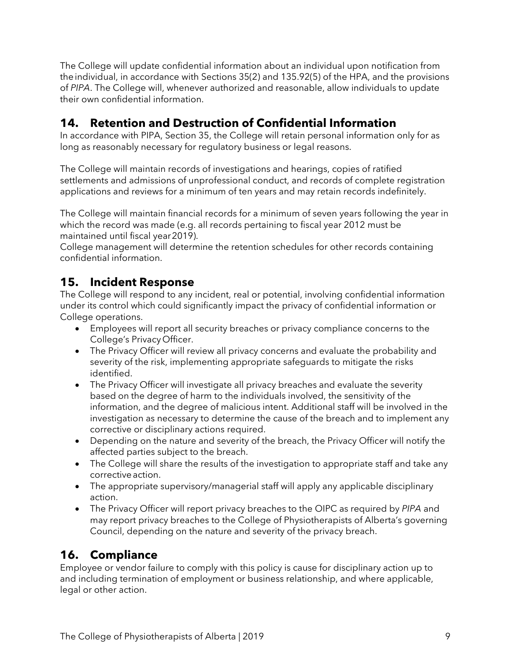The College will update confidential information about an individual upon notification from theindividual, in accordance with Sections 35(2) and 135.92(5) of the HPA, and the provisions of *PIPA*. The College will, whenever authorized and reasonable, allow individuals to update their own confidential information.

# <span id="page-8-0"></span>**14. Retention and Destruction of Confidential Information**

In accordance with PIPA, Section 35, the College will retain personal information only for as long as reasonably necessary for regulatory business or legal reasons.

The College will maintain records of investigations and hearings, copies of ratified settlements and admissions of unprofessional conduct, and records of complete registration applications and reviews for a minimum of ten years and may retain records indefinitely.

The College will maintain financial records for a minimum of seven years following the year in which the record was made (e.g. all records pertaining to fiscal year 2012 must be maintained until fiscal year2019).

College management will determine the retention schedules for other records containing confidential information.

### <span id="page-8-1"></span>**15. Incident Response**

The College will respond to any incident, real or potential, involving confidential information under its control which could significantly impact the privacy of confidential information or College operations.

- Employees will report all security breaches or privacy compliance concerns to the College's Privacy Officer.
- The Privacy Officer will review all privacy concerns and evaluate the probability and severity of the risk, implementing appropriate safeguards to mitigate the risks identified.
- The Privacy Officer will investigate all privacy breaches and evaluate the severity based on the degree of harm to the individuals involved, the sensitivity of the information, and the degree of malicious intent. Additional staff will be involved in the investigation as necessary to determine the cause of the breach and to implement any corrective or disciplinary actions required.
- Depending on the nature and severity of the breach, the Privacy Officer will notify the affected parties subject to the breach.
- The College will share the results of the investigation to appropriate staff and take any correctiveaction.
- The appropriate supervisory/managerial staff will apply any applicable disciplinary action.
- The Privacy Officer will report privacy breaches to the OIPC as required by *PIPA* and may report privacy breaches to the College of Physiotherapists of Alberta's governing Council, depending on the nature and severity of the privacy breach.

# <span id="page-8-2"></span>**16. Compliance**

Employee or vendor failure to comply with this policy is cause for disciplinary action up to and including termination of employment or business relationship, and where applicable, legal or other action.